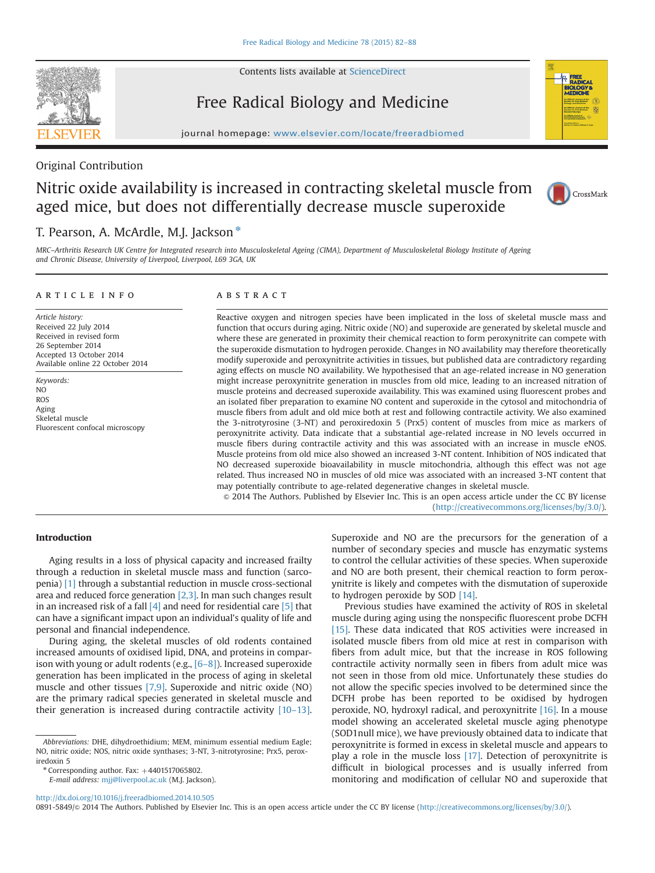

Contents lists available at [ScienceDirect](www.sciencedirect.com/science/journal/08915849)

# Free Radical Biology and Medicine



journal homepage: <www.elsevier.com/locate/freeradbiomed>

# Original Contribution

# Nitric oxide availability is increased in contracting skeletal muscle from aged mice, but does not differentially decrease muscle superoxide



# T. Pearson, A. McArdle, M.J. Jackson\*

MRC–Arthritis Research UK Centre for Integrated research into Musculoskeletal Ageing (CIMA), Department of Musculoskeletal Biology Institute of Ageing and Chronic Disease, University of Liverpool, Liverpool, L69 3GA, UK

### article info

Article history: Received 22 July 2014 Received in revised form 26 September 2014 Accepted 13 October 2014 Available online 22 October 2014

Keywords: NO ROS Aging Skeletal muscle Fluorescent confocal microscopy

# **ABSTRACT**

Reactive oxygen and nitrogen species have been implicated in the loss of skeletal muscle mass and function that occurs during aging. Nitric oxide (NO) and superoxide are generated by skeletal muscle and where these are generated in proximity their chemical reaction to form peroxynitrite can compete with the superoxide dismutation to hydrogen peroxide. Changes in NO availability may therefore theoretically modify superoxide and peroxynitrite activities in tissues, but published data are contradictory regarding aging effects on muscle NO availability. We hypothesised that an age-related increase in NO generation might increase peroxynitrite generation in muscles from old mice, leading to an increased nitration of muscle proteins and decreased superoxide availability. This was examined using fluorescent probes and an isolated fiber preparation to examine NO content and superoxide in the cytosol and mitochondria of muscle fibers from adult and old mice both at rest and following contractile activity. We also examined the 3-nitrotyrosine (3-NT) and peroxiredoxin 5 (Prx5) content of muscles from mice as markers of peroxynitrite activity. Data indicate that a substantial age-related increase in NO levels occurred in muscle fibers during contractile activity and this was associated with an increase in muscle eNOS. Muscle proteins from old mice also showed an increased 3-NT content. Inhibition of NOS indicated that NO decreased superoxide bioavailability in muscle mitochondria, although this effect was not age related. Thus increased NO in muscles of old mice was associated with an increased 3-NT content that may potentially contribute to age-related degenerative changes in skeletal muscle.

& 2014 The Authors. Published by Elsevier Inc. This is an open access article under the CC BY license (http://creativecommons.org/licenses/by/3.0/).

# Introduction

Aging results in a loss of physical capacity and increased frailty through a reduction in skeletal muscle mass and function (sarcopenia) [\[1\]](#page-5-0) through a substantial reduction in muscle cross-sectional area and reduced force generation [\[2,3\].](#page-5-0) In man such changes result in an increased risk of a fall  $[4]$  and need for residential care  $[5]$  that can have a significant impact upon an individual's quality of life and personal and financial independence.

During aging, the skeletal muscles of old rodents contained increased amounts of oxidised lipid, DNA, and proteins in comparison with young or adult rodents (e.g., [6–[8\]\)](#page-6-0). Increased superoxide generation has been implicated in the process of aging in skeletal muscle and other tissues [\[7,9\].](#page-6-0) Superoxide and nitric oxide (NO) are the primary radical species generated in skeletal muscle and their generation is increased during contractile activity [10–[13\].](#page-6-0)

 $*$  Corresponding author. Fax:  $+4401517065802$ .

E-mail address: [mjj@liverpool.ac.uk](mailto:mjj@liverpool.ac.uk) (M.J. Jackson).

Superoxide and NO are the precursors for the generation of a number of secondary species and muscle has enzymatic systems to control the cellular activities of these species. When superoxide and NO are both present, their chemical reaction to form peroxynitrite is likely and competes with the dismutation of superoxide to hydrogen peroxide by SOD [\[14\]](#page-6-0).

Previous studies have examined the activity of ROS in skeletal muscle during aging using the nonspecific fluorescent probe DCFH [\[15\].](#page-6-0) These data indicated that ROS activities were increased in isolated muscle fibers from old mice at rest in comparison with fibers from adult mice, but that the increase in ROS following contractile activity normally seen in fibers from adult mice was not seen in those from old mice. Unfortunately these studies do not allow the specific species involved to be determined since the DCFH probe has been reported to be oxidised by hydrogen peroxide, NO, hydroxyl radical, and peroxynitrite [\[16\].](#page-6-0) In a mouse model showing an accelerated skeletal muscle aging phenotype (SOD1null mice), we have previously obtained data to indicate that peroxynitrite is formed in excess in skeletal muscle and appears to play a role in the muscle loss [\[17\]](#page-6-0). Detection of peroxynitrite is difficult in biological processes and is usually inferred from monitoring and modification of cellular NO and superoxide that

<http://dx.doi.org/10.1016/j.freeradbiomed.2014.10.505>

0891-5849/@ 2014 The Authors. Published by Elsevier Inc. This is an open access article under the CC BY license (http://creativecommons.org/licenses/by/3.0/).

Abbreviations: DHE, dihydroethidium; MEM, minimum essential medium Eagle; NO, nitric oxide; NOS, nitric oxide synthases; 3-NT, 3-nitrotyrosine; Prx5, peroxiredoxin 5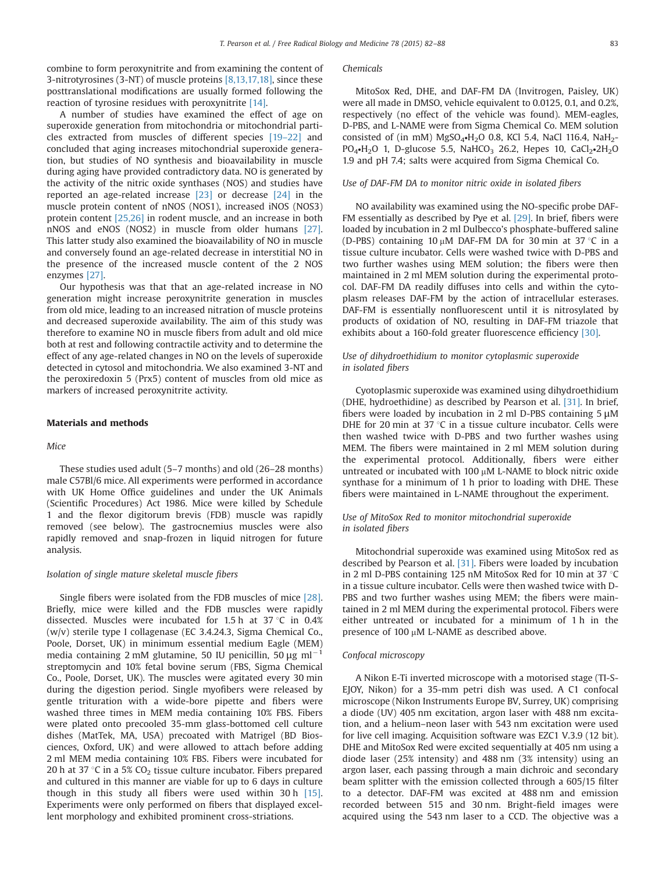combine to form peroxynitrite and from examining the content of 3-nitrotyrosines (3-NT) of muscle proteins [\[8,13,17,18\],](#page-6-0) since these posttranslational modifications are usually formed following the reaction of tyrosine residues with peroxynitrite [\[14\].](#page-6-0)

A number of studies have examined the effect of age on superoxide generation from mitochondria or mitochondrial particles extracted from muscles of different species [19–[22\]](#page-6-0) and concluded that aging increases mitochondrial superoxide generation, but studies of NO synthesis and bioavailability in muscle during aging have provided contradictory data. NO is generated by the activity of the nitric oxide synthases (NOS) and studies have reported an age-related increase [\[23\]](#page-6-0) or decrease [\[24\]](#page-6-0) in the muscle protein content of nNOS (NOS1), increased iNOS (NOS3) protein content [\[25,26\]](#page-6-0) in rodent muscle, and an increase in both nNOS and eNOS (NOS2) in muscle from older humans [\[27\].](#page-6-0) This latter study also examined the bioavailability of NO in muscle and conversely found an age-related decrease in interstitial NO in the presence of the increased muscle content of the 2 NOS enzymes [\[27\].](#page-6-0)

Our hypothesis was that that an age-related increase in NO generation might increase peroxynitrite generation in muscles from old mice, leading to an increased nitration of muscle proteins and decreased superoxide availability. The aim of this study was therefore to examine NO in muscle fibers from adult and old mice both at rest and following contractile activity and to determine the effect of any age-related changes in NO on the levels of superoxide detected in cytosol and mitochondria. We also examined 3-NT and the peroxiredoxin 5 (Prx5) content of muscles from old mice as markers of increased peroxynitrite activity.

# Materials and methods

#### Mice

These studies used adult (5–7 months) and old (26–28 months) male C57Bl/6 mice. All experiments were performed in accordance with UK Home Office guidelines and under the UK Animals (Scientific Procedures) Act 1986. Mice were killed by Schedule 1 and the flexor digitorum brevis (FDB) muscle was rapidly removed (see below). The gastrocnemius muscles were also rapidly removed and snap-frozen in liquid nitrogen for future analysis.

#### Isolation of single mature skeletal muscle fibers

Single fibers were isolated from the FDB muscles of mice [\[28\].](#page-6-0) Briefly, mice were killed and the FDB muscles were rapidly dissected. Muscles were incubated for 1.5 h at 37  $\degree$ C in 0.4% (w/v) sterile type I collagenase (EC 3.4.24.3, Sigma Chemical Co., Poole, Dorset, UK) in minimum essential medium Eagle (MEM) media containing 2 mM glutamine, 50 IU penicillin, 50  $\mu$ g ml<sup>-1</sup> streptomycin and 10% fetal bovine serum (FBS, Sigma Chemical Co., Poole, Dorset, UK). The muscles were agitated every 30 min during the digestion period. Single myofibers were released by gentle trituration with a wide-bore pipette and fibers were washed three times in MEM media containing 10% FBS. Fibers were plated onto precooled 35-mm glass-bottomed cell culture dishes (MatTek, MA, USA) precoated with Matrigel (BD Biosciences, Oxford, UK) and were allowed to attach before adding 2 ml MEM media containing 10% FBS. Fibers were incubated for 20 h at 37  $\degree$ C in a 5% CO<sub>2</sub> tissue culture incubator. Fibers prepared and cultured in this manner are viable for up to 6 days in culture though in this study all fibers were used within 30 h [\[15\].](#page-6-0) Experiments were only performed on fibers that displayed excellent morphology and exhibited prominent cross-striations.

### Chemicals

MitoSox Red, DHE, and DAF-FM DA (Invitrogen, Paisley, UK) were all made in DMSO, vehicle equivalent to 0.0125, 0.1, and 0.2%, respectively (no effect of the vehicle was found). MEM-eagles, D-PBS, and L-NAME were from Sigma Chemical Co. MEM solution consisted of (in mM) MgSO<sub>4</sub>•H<sub>2</sub>O 0.8, KCl 5.4, NaCl 116.4, NaH<sub>2</sub>-PO<sub>4</sub>•H<sub>2</sub>O 1, D-glucose 5.5, NaHCO<sub>3</sub> 26.2, Hepes 10, CaCl<sub>2</sub>•2H<sub>2</sub>O 1.9 and pH 7.4; salts were acquired from Sigma Chemical Co.

#### Use of DAF-FM DA to monitor nitric oxide in isolated fibers

NO availability was examined using the NO-specific probe DAF-FM essentially as described by Pye et al. [\[29\].](#page-6-0) In brief, fibers were loaded by incubation in 2 ml Dulbecco's phosphate-buffered saline (D-PBS) containing 10  $\mu$ M DAF-FM DA for 30 min at 37 °C in a tissue culture incubator. Cells were washed twice with D-PBS and two further washes using MEM solution; the fibers were then maintained in 2 ml MEM solution during the experimental protocol. DAF-FM DA readily diffuses into cells and within the cytoplasm releases DAF-FM by the action of intracellular esterases. DAF-FM is essentially nonfluorescent until it is nitrosylated by products of oxidation of NO, resulting in DAF-FM triazole that exhibits about a 160-fold greater fluorescence efficiency [\[30\]](#page-6-0).

# Use of dihydroethidium to monitor cytoplasmic superoxide in isolated fibers

Cyotoplasmic superoxide was examined using dihydroethidium (DHE, hydroethidine) as described by Pearson et al. [\[31\].](#page-6-0) In brief, fibers were loaded by incubation in 2 ml D-PBS containing 5 μM DHE for 20 min at 37  $\degree$ C in a tissue culture incubator. Cells were then washed twice with D-PBS and two further washes using MEM. The fibers were maintained in 2 ml MEM solution during the experimental protocol. Additionally, fibers were either untreated or incubated with 100  $\mu$ M L-NAME to block nitric oxide synthase for a minimum of 1 h prior to loading with DHE. These fibers were maintained in L-NAME throughout the experiment.

## Use of MitoSox Red to monitor mitochondrial superoxide in isolated fibers

Mitochondrial superoxide was examined using MitoSox red as described by Pearson et al. [\[31\]](#page-6-0). Fibers were loaded by incubation in 2 ml D-PBS containing 125 nM MitoSox Red for 10 min at 37 °C in a tissue culture incubator. Cells were then washed twice with D-PBS and two further washes using MEM; the fibers were maintained in 2 ml MEM during the experimental protocol. Fibers were either untreated or incubated for a minimum of 1 h in the presence of 100  $\mu$ M L-NAME as described above.

#### Confocal microscopy

A Nikon E-Ti inverted microscope with a motorised stage (TI-S-EJOY, Nikon) for a 35-mm petri dish was used. A C1 confocal microscope (Nikon Instruments Europe BV, Surrey, UK) comprising a diode (UV) 405 nm excitation, argon laser with 488 nm excitation, and a helium–neon laser with 543 nm excitation were used for live cell imaging. Acquisition software was EZC1 V.3.9 (12 bit). DHE and MitoSox Red were excited sequentially at 405 nm using a diode laser (25% intensity) and 488 nm (3% intensity) using an argon laser, each passing through a main dichroic and secondary beam splitter with the emission collected through a 605/15 filter to a detector. DAF-FM was excited at 488 nm and emission recorded between 515 and 30 nm. Bright-field images were acquired using the 543 nm laser to a CCD. The objective was a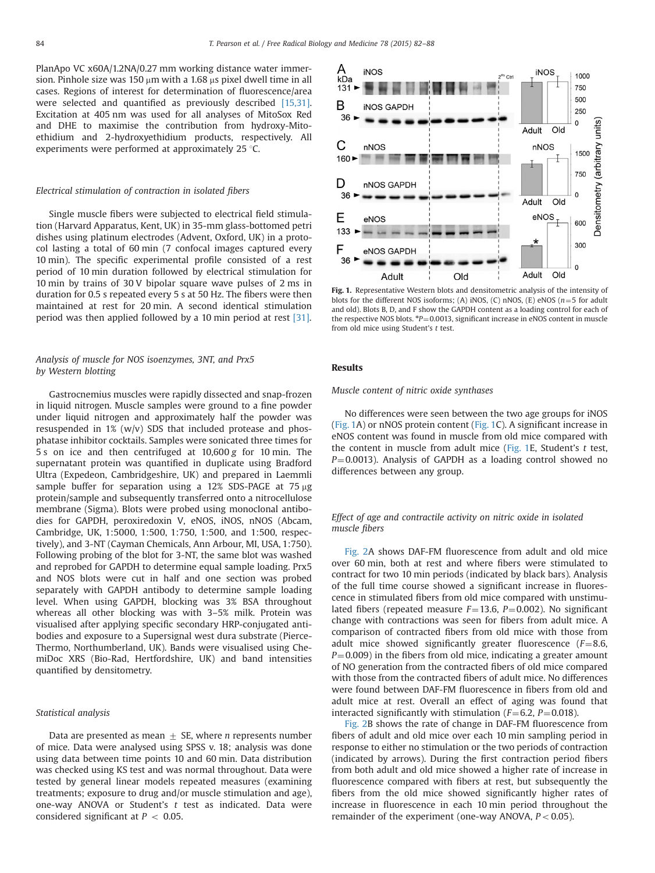<span id="page-2-0"></span>PlanApo VC x60A/1.2NA/0.27 mm working distance water immersion. Pinhole size was 150  $\mu$ m with a 1.68  $\mu$ s pixel dwell time in all cases. Regions of interest for determination of fluorescence/area were selected and quantified as previously described [\[15,31\].](#page-6-0) Excitation at 405 nm was used for all analyses of MitoSox Red and DHE to maximise the contribution from hydroxy-Mitoethidium and 2-hydroxyethidium products, respectively. All experiments were performed at approximately 25  $\degree$ C.

#### Electrical stimulation of contraction in isolated fibers

Single muscle fibers were subjected to electrical field stimulation (Harvard Apparatus, Kent, UK) in 35-mm glass-bottomed petri dishes using platinum electrodes (Advent, Oxford, UK) in a protocol lasting a total of 60 min (7 confocal images captured every 10 min). The specific experimental profile consisted of a rest period of 10 min duration followed by electrical stimulation for 10 min by trains of 30 V bipolar square wave pulses of 2 ms in duration for 0.5 s repeated every 5 s at 50 Hz. The fibers were then maintained at rest for 20 min. A second identical stimulation period was then applied followed by a 10 min period at rest [\[31\]](#page-6-0).

# Analysis of muscle for NOS isoenzymes, 3NT, and Prx5 by Western blotting

Gastrocnemius muscles were rapidly dissected and snap-frozen in liquid nitrogen. Muscle samples were ground to a fine powder under liquid nitrogen and approximately half the powder was resuspended in  $1\%$  (w/v) SDS that included protease and phosphatase inhibitor cocktails. Samples were sonicated three times for 5 s on ice and then centrifuged at 10,600 g for 10 min. The supernatant protein was quantified in duplicate using Bradford Ultra (Expedeon, Cambridgeshire, UK) and prepared in Laemmli sample buffer for separation using a 12% SDS-PAGE at  $75 \mu g$ protein/sample and subsequently transferred onto a nitrocellulose membrane (Sigma). Blots were probed using monoclonal antibodies for GAPDH, peroxiredoxin V, eNOS, iNOS, nNOS (Abcam, Cambridge, UK, 1:5000, 1:500, 1:750, 1:500, and 1:500, respectively), and 3-NT (Cayman Chemicals, Ann Arbour, MI, USA, 1:750). Following probing of the blot for 3-NT, the same blot was washed and reprobed for GAPDH to determine equal sample loading. Prx5 and NOS blots were cut in half and one section was probed separately with GAPDH antibody to determine sample loading level. When using GAPDH, blocking was 3% BSA throughout whereas all other blocking was with 3–5% milk. Protein was visualised after applying specific secondary HRP-conjugated antibodies and exposure to a Supersignal west dura substrate (Pierce-Thermo, Northumberland, UK). Bands were visualised using ChemiDoc XRS (Bio-Rad, Hertfordshire, UK) and band intensities quantified by densitometry.

### Statistical analysis

Data are presented as mean  $\pm$  SE, where *n* represents number of mice. Data were analysed using SPSS v. 18; analysis was done using data between time points 10 and 60 min. Data distribution was checked using KS test and was normal throughout. Data were tested by general linear models repeated measures (examining treatments; exposure to drug and/or muscle stimulation and age), one-way ANOVA or Student's t test as indicated. Data were considered significant at  $P < 0.05$ .



Fig. 1. Representative Western blots and densitometric analysis of the intensity of blots for the different NOS isoforms; (A) iNOS, (C) nNOS, (E) eNOS ( $n=5$  for adult and old). Blots B, D, and F show the GAPDH content as a loading control for each of the respective NOS blots.  $P=0.0013$ , significant increase in eNOS content in muscle from old mice using Student's t test.

### Results

Muscle content of nitric oxide synthases

No differences were seen between the two age groups for iNOS (Fig. 1A) or nNOS protein content (Fig. 1C). A significant increase in eNOS content was found in muscle from old mice compared with the content in muscle from adult mice (Fig. 1E, Student's t test,  $P=0.0013$ ). Analysis of GAPDH as a loading control showed no differences between any group.

# Effect of age and contractile activity on nitric oxide in isolated muscle fibers

[Fig. 2A](#page-3-0) shows DAF-FM fluorescence from adult and old mice over 60 min, both at rest and where fibers were stimulated to contract for two 10 min periods (indicated by black bars). Analysis of the full time course showed a significant increase in fluorescence in stimulated fibers from old mice compared with unstimulated fibers (repeated measure  $F=13.6$ ,  $P=0.002$ ). No significant change with contractions was seen for fibers from adult mice. A comparison of contracted fibers from old mice with those from adult mice showed significantly greater fluorescence ( $F=8.6$ ,  $P=0.009$ ) in the fibers from old mice, indicating a greater amount of NO generation from the contracted fibers of old mice compared with those from the contracted fibers of adult mice. No differences were found between DAF-FM fluorescence in fibers from old and adult mice at rest. Overall an effect of aging was found that interacted significantly with stimulation ( $F=6.2$ ,  $P=0.018$ ).

[Fig. 2](#page-3-0)B shows the rate of change in DAF-FM fluorescence from fibers of adult and old mice over each 10 min sampling period in response to either no stimulation or the two periods of contraction (indicated by arrows). During the first contraction period fibers from both adult and old mice showed a higher rate of increase in fluorescence compared with fibers at rest, but subsequently the fibers from the old mice showed significantly higher rates of increase in fluorescence in each 10 min period throughout the remainder of the experiment (one-way ANOVA,  $P < 0.05$ ).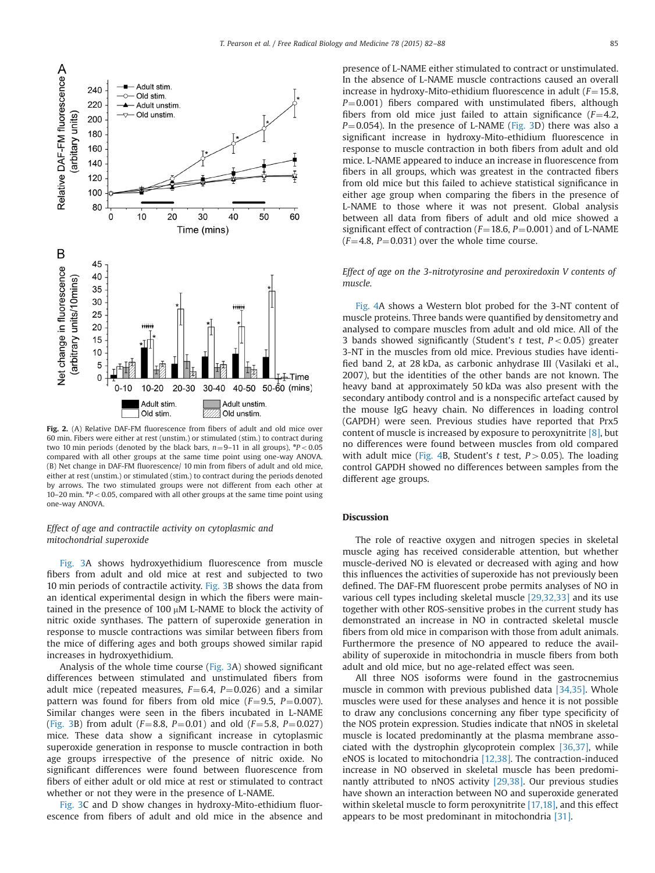<span id="page-3-0"></span>

Fig. 2. (A) Relative DAF-FM fluorescence from fibers of adult and old mice over 60 min. Fibers were either at rest (unstim.) or stimulated (stim.) to contract during two 10 min periods (denoted by the black bars,  $n=9-11$  in all groups),  ${}^*P<0.05$ compared with all other groups at the same time point using one-way ANOVA. (B) Net change in DAF-FM fluorescence/ 10 min from fibers of adult and old mice, either at rest (unstim.) or stimulated (stim.) to contract during the periods denoted by arrows. The two stimulated groups were not different from each other at 10-20 min.  $*P < 0.05$ , compared with all other groups at the same time point using one-way ANOVA.

# Effect of age and contractile activity on cytoplasmic and mitochondrial superoxide

[Fig. 3A](#page-4-0) shows hydroxyethidium fluorescence from muscle fibers from adult and old mice at rest and subjected to two 10 min periods of contractile activity. [Fig. 3](#page-4-0)B shows the data from an identical experimental design in which the fibers were maintained in the presence of 100  $\mu$ M L-NAME to block the activity of nitric oxide synthases. The pattern of superoxide generation in response to muscle contractions was similar between fibers from the mice of differing ages and both groups showed similar rapid increases in hydroxyethidium.

Analysis of the whole time course [\(Fig. 3A](#page-4-0)) showed significant differences between stimulated and unstimulated fibers from adult mice (repeated measures,  $F=6.4$ ,  $P=0.026$ ) and a similar pattern was found for fibers from old mice  $(F=9.5, P=0.007)$ . Similar changes were seen in the fibers incubated in L-NAME ([Fig. 3](#page-4-0)B) from adult ( $F=8.8$ ,  $P=0.01$ ) and old ( $F=5.8$ ,  $P=0.027$ ) mice. These data show a significant increase in cytoplasmic superoxide generation in response to muscle contraction in both age groups irrespective of the presence of nitric oxide. No significant differences were found between fluorescence from fibers of either adult or old mice at rest or stimulated to contract whether or not they were in the presence of L-NAME.

[Fig. 3C](#page-4-0) and D show changes in hydroxy-Mito-ethidium fluorescence from fibers of adult and old mice in the absence and presence of L-NAME either stimulated to contract or unstimulated. In the absence of L-NAME muscle contractions caused an overall increase in hydroxy-Mito-ethidium fluorescence in adult  $(F=15.8,$  $P=0.001$ ) fibers compared with unstimulated fibers, although fibers from old mice just failed to attain significance ( $F=4.2$ ,  $P=0.054$ ). In the presence of L-NAME [\(Fig. 3](#page-4-0)D) there was also a significant increase in hydroxy-Mito-ethidium fluorescence in response to muscle contraction in both fibers from adult and old mice. L-NAME appeared to induce an increase in fluorescence from fibers in all groups, which was greatest in the contracted fibers from old mice but this failed to achieve statistical significance in either age group when comparing the fibers in the presence of L-NAME to those where it was not present. Global analysis between all data from fibers of adult and old mice showed a significant effect of contraction ( $F=18.6$ ,  $P=0.001$ ) and of L-NAME  $(F=4.8, P=0.031)$  over the whole time course.

Effect of age on the 3-nitrotyrosine and peroxiredoxin V contents of muscle.

[Fig. 4](#page-5-0)A shows a Western blot probed for the 3-NT content of muscle proteins. Three bands were quantified by densitometry and analysed to compare muscles from adult and old mice. All of the 3 bands showed significantly (Student's t test,  $P < 0.05$ ) greater 3-NT in the muscles from old mice. Previous studies have identified band 2, at 28 kDa, as carbonic anhydrase III (Vasilaki et al., 2007), but the identities of the other bands are not known. The heavy band at approximately 50 kDa was also present with the secondary antibody control and is a nonspecific artefact caused by the mouse IgG heavy chain. No differences in loading control (GAPDH) were seen. Previous studies have reported that Prx5 content of muscle is increased by exposure to peroxynitrite [\[8\],](#page-6-0) but no differences were found between muscles from old compared with adult mice ([Fig. 4](#page-5-0)B, Student's t test,  $P > 0.05$ ). The loading control GAPDH showed no differences between samples from the different age groups.

#### **Discussion**

The role of reactive oxygen and nitrogen species in skeletal muscle aging has received considerable attention, but whether muscle-derived NO is elevated or decreased with aging and how this influences the activities of superoxide has not previously been defined. The DAF-FM fluorescent probe permits analyses of NO in various cell types including skeletal muscle [\[29,32,33\]](#page-6-0) and its use together with other ROS-sensitive probes in the current study has demonstrated an increase in NO in contracted skeletal muscle fibers from old mice in comparison with those from adult animals. Furthermore the presence of NO appeared to reduce the availability of superoxide in mitochondria in muscle fibers from both adult and old mice, but no age-related effect was seen.

All three NOS isoforms were found in the gastrocnemius muscle in common with previous published data [\[34,35\]](#page-6-0). Whole muscles were used for these analyses and hence it is not possible to draw any conclusions concerning any fiber type specificity of the NOS protein expression. Studies indicate that nNOS in skeletal muscle is located predominantly at the plasma membrane associated with the dystrophin glycoprotein complex [\[36,37\]](#page-6-0), while eNOS is located to mitochondria [\[12,38\]](#page-6-0). The contraction-induced increase in NO observed in skeletal muscle has been predominantly attributed to nNOS activity [\[29,38\].](#page-6-0) Our previous studies have shown an interaction between NO and superoxide generated within skeletal muscle to form peroxynitrite [\[17,18\]](#page-6-0), and this effect appears to be most predominant in mitochondria [\[31\]](#page-6-0).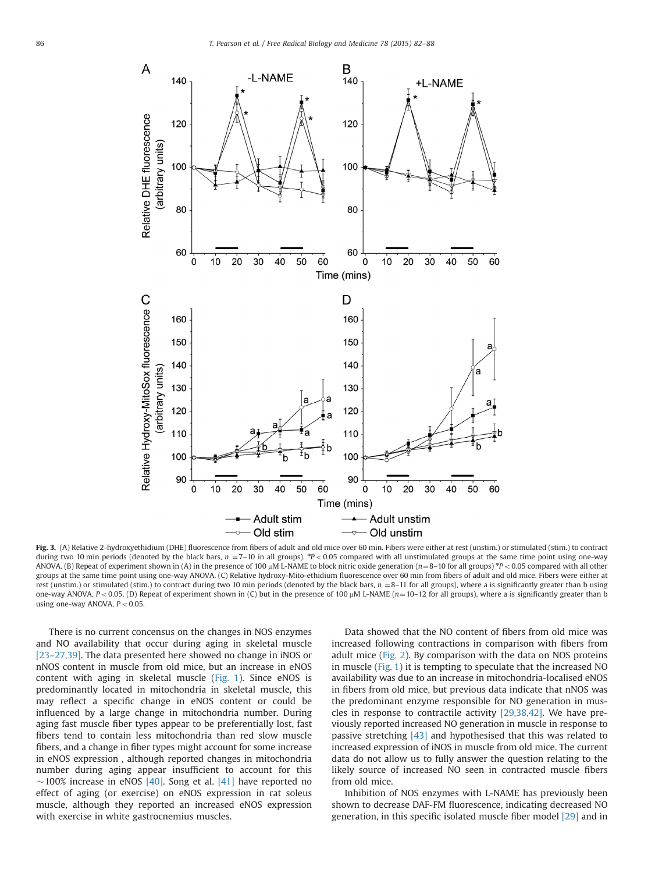<span id="page-4-0"></span>

Fig. 3. (A) Relative 2-hydroxyethidium (DHE) fluorescence from fibers of adult and old mice over 60 min. Fibers were either at rest (unstim.) or stimulated (stim.) to contract during two 10 min periods (denoted by the black bars,  $n = 7-10$  in all groups).  $\frac{sp}{2} < 0.05$  compared with all unstimulated groups at the same time point using one-way ANOVA. (B) Repeat of experiment shown in (A) in the presence of 100  $\mu$ M L-NAME to block nitric oxide generation ( $n=8-10$  for all groups) \*P < 0.05 compared with all other groups at the same time point using one-way ANOVA. (C) Relative hydroxy-Mito-ethidium fluorescence over 60 min from fibers of adult and old mice. Fibers were either at rest (unstim.) or stimulated (stim.) to contract during two 10 min periods (denoted by the black bars,  $n = 8-11$  for all groups), where a is significantly greater than b using one-way ANOVA,  $P < 0.05$ . (D) Repeat of experiment shown in (C) but in the presence of 100  $\mu$ M L-NAME ( $n=10-12$  for all groups), where a is significantly greater than b using one-way ANOVA,  $P < 0.05$ .

There is no current concensus on the changes in NOS enzymes and NO availability that occur during aging in skeletal muscle [23–[27,39\].](#page-6-0) The data presented here showed no change in iNOS or nNOS content in muscle from old mice, but an increase in eNOS content with aging in skeletal muscle [\(Fig. 1](#page-2-0)). Since eNOS is predominantly located in mitochondria in skeletal muscle, this may reflect a specific change in eNOS content or could be influenced by a large change in mitochondria number. During aging fast muscle fiber types appear to be preferentially lost, fast fibers tend to contain less mitochondria than red slow muscle fibers, and a change in fiber types might account for some increase in eNOS expression , although reported changes in mitochondria number during aging appear insufficient to account for this  $\sim$ 100% increase in eNOS [\[40\]](#page-6-0). Song et al. [\[41\]](#page-6-0) have reported no effect of aging (or exercise) on eNOS expression in rat soleus muscle, although they reported an increased eNOS expression with exercise in white gastrocnemius muscles.

Data showed that the NO content of fibers from old mice was increased following contractions in comparison with fibers from adult mice [\(Fig. 2\)](#page-3-0). By comparison with the data on NOS proteins in muscle ([Fig. 1](#page-2-0)) it is tempting to speculate that the increased NO availability was due to an increase in mitochondria-localised eNOS in fibers from old mice, but previous data indicate that nNOS was the predominant enzyme responsible for NO generation in muscles in response to contractile activity [\[29,38,42\]](#page-6-0). We have previously reported increased NO generation in muscle in response to passive stretching [\[43\]](#page-6-0) and hypothesised that this was related to increased expression of iNOS in muscle from old mice. The current data do not allow us to fully answer the question relating to the likely source of increased NO seen in contracted muscle fibers from old mice.

Inhibition of NOS enzymes with L-NAME has previously been shown to decrease DAF-FM fluorescence, indicating decreased NO generation, in this specific isolated muscle fiber model [\[29\]](#page-6-0) and in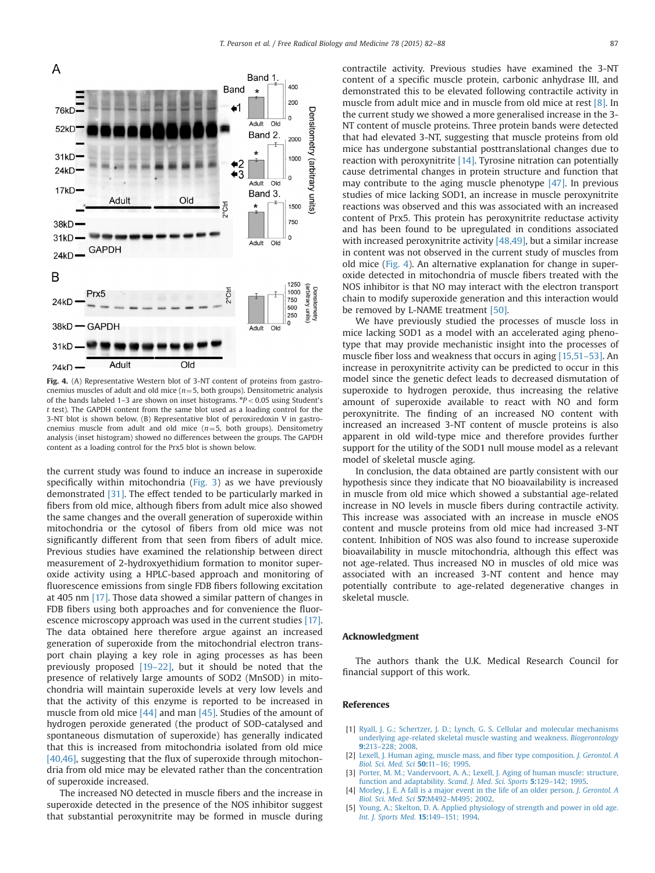

content as a loading control for the Prx5 blot is shown below.

the current study was found to induce an increase in superoxide specifically within mitochondria ([Fig. 3\)](#page-4-0) as we have previously demonstrated [\[31\].](#page-6-0) The effect tended to be particularly marked in fibers from old mice, although fibers from adult mice also showed the same changes and the overall generation of superoxide within mitochondria or the cytosol of fibers from old mice was not significantly different from that seen from fibers of adult mice. Previous studies have examined the relationship between direct measurement of 2-hydroxyethidium formation to monitor superoxide activity using a HPLC-based approach and monitoring of fluorescence emissions from single FDB fibers following excitation at 405 nm [\[17\]](#page-6-0). Those data showed a similar pattern of changes in FDB fibers using both approaches and for convenience the fluorescence microscopy approach was used in the current studies [\[17\].](#page-6-0) The data obtained here therefore argue against an increased generation of superoxide from the mitochondrial electron transport chain playing a key role in aging processes as has been previously proposed [19–[22\],](#page-6-0) but it should be noted that the presence of relatively large amounts of SOD2 (MnSOD) in mitochondria will maintain superoxide levels at very low levels and that the activity of this enzyme is reported to be increased in muscle from old mice [\[44\]](#page-6-0) and man [\[45\]](#page-6-0). Studies of the amount of hydrogen peroxide generated (the product of SOD-catalysed and spontaneous dismutation of superoxide) has generally indicated that this is increased from mitochondria isolated from old mice [\[40,46\]](#page-6-0), suggesting that the flux of superoxide through mitochondria from old mice may be elevated rather than the concentration of superoxide increased.

The increased NO detected in muscle fibers and the increase in superoxide detected in the presence of the NOS inhibitor suggest that substantial peroxynitrite may be formed in muscle during contractile activity. Previous studies have examined the 3-NT content of a specific muscle protein, carbonic anhydrase III, and demonstrated this to be elevated following contractile activity in muscle from adult mice and in muscle from old mice at rest [\[8\].](#page-6-0) In the current study we showed a more generalised increase in the 3- NT content of muscle proteins. Three protein bands were detected that had elevated 3-NT, suggesting that muscle proteins from old mice has undergone substantial posttranslational changes due to reaction with peroxynitrite [\[14\].](#page-6-0) Tyrosine nitration can potentially cause detrimental changes in protein structure and function that may contribute to the aging muscle phenotype [\[47\].](#page-6-0) In previous studies of mice lacking SOD1, an increase in muscle peroxynitrite reactions was observed and this was associated with an increased content of Prx5. This protein has peroxynitrite reductase activity and has been found to be upregulated in conditions associated with increased peroxynitrite activity  $[48,49]$ , but a similar increase in content was not observed in the current study of muscles from old mice (Fig. 4). An alternative explanation for change in superoxide detected in mitochondria of muscle fibers treated with the NOS inhibitor is that NO may interact with the electron transport chain to modify superoxide generation and this interaction would be removed by L-NAME treatment [\[50\]](#page-6-0).

We have previously studied the processes of muscle loss in mice lacking SOD1 as a model with an accelerated aging phenotype that may provide mechanistic insight into the processes of muscle fiber loss and weakness that occurs in aging [\[15,51](#page-6-0)–53]. An increase in peroxynitrite activity can be predicted to occur in this model since the genetic defect leads to decreased dismutation of superoxide to hydrogen peroxide, thus increasing the relative amount of superoxide available to react with NO and form peroxynitrite. The finding of an increased NO content with increased an increased 3-NT content of muscle proteins is also apparent in old wild-type mice and therefore provides further support for the utility of the SOD1 null mouse model as a relevant model of skeletal muscle aging.

In conclusion, the data obtained are partly consistent with our hypothesis since they indicate that NO bioavailability is increased in muscle from old mice which showed a substantial age-related increase in NO levels in muscle fibers during contractile activity. This increase was associated with an increase in muscle eNOS content and muscle proteins from old mice had increased 3-NT content. Inhibition of NOS was also found to increase superoxide bioavailability in muscle mitochondria, although this effect was not age-related. Thus increased NO in muscles of old mice was associated with an increased 3-NT content and hence may potentially contribute to age-related degenerative changes in skeletal muscle.

## Acknowledgment

The authors thank the U.K. Medical Research Council for financial support of this work.

#### References

- [1] [Ryall, J. G.; Schertzer, J. D.; Lynch, G. S. Cellular and molecular mechanisms](http://refhub.elsevier.com/S0891-5849(14)01006-5/sbref1) [underlying age-related skeletal muscle wasting and weakness.](http://refhub.elsevier.com/S0891-5849(14)01006-5/sbref1) Biogerontology 9:213–[228; 2008.](http://refhub.elsevier.com/S0891-5849(14)01006-5/sbref1)
- [2] [Lexell, J. Human aging, muscle mass, and](http://refhub.elsevier.com/S0891-5849(14)01006-5/sbref2) fiber type composition. J. Gerontol. A [Biol. Sci. Med. Sci](http://refhub.elsevier.com/S0891-5849(14)01006-5/sbref2) 50:11–16; 1995.
- [3] [Porter, M. M.; Vandervoort, A. A.; Lexell, J. Aging of human muscle: structure,](http://refhub.elsevier.com/S0891-5849(14)01006-5/sbref3) [function and adaptability.](http://refhub.elsevier.com/S0891-5849(14)01006-5/sbref3) Scand. J. Med. Sci. Sports 5:129-142; 1995.
- [4] [Morley, J. E. A fall is a major event in the life of an older person.](http://refhub.elsevier.com/S0891-5849(14)01006-5/sbref4) J. Gerontol. A [Biol. Sci. Med. Sci](http://refhub.elsevier.com/S0891-5849(14)01006-5/sbref4) 57:M492-M495; 2002.
- [5] [Young, A.; Skelton, D. A. Applied physiology of strength and power in old age.](http://refhub.elsevier.com/S0891-5849(14)01006-5/sbref5) [Int. J. Sports Med.](http://refhub.elsevier.com/S0891-5849(14)01006-5/sbref5) 15:149–151; 1994.

<span id="page-5-0"></span>